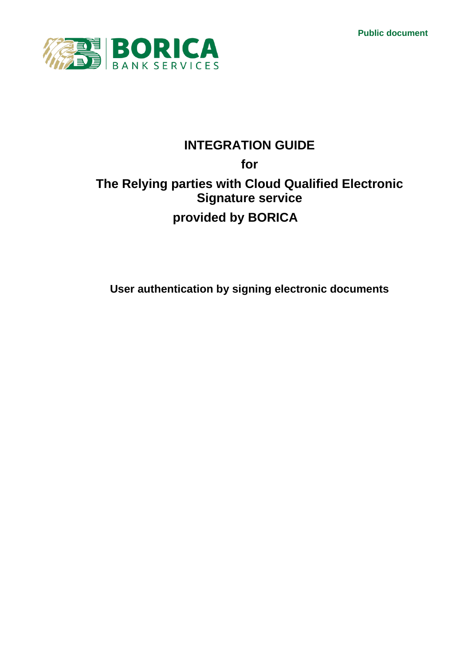**Public document**



# **INTEGRATION GUIDE**

# **for The Relying parties with Cloud Qualified Electronic Signature service provided by BORICA**

**User authentication by signing electronic documents**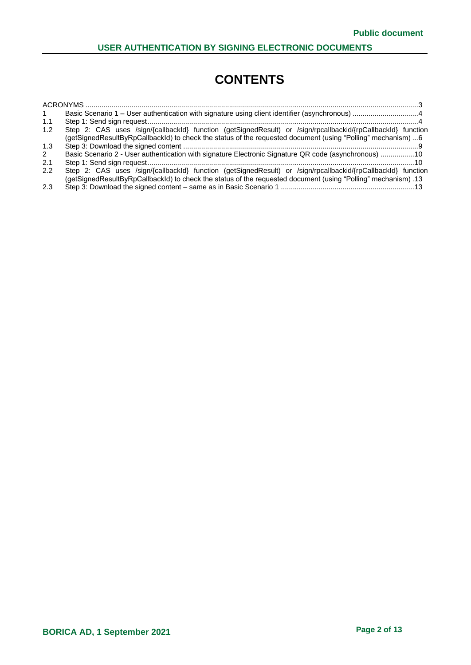# **CONTENTS**

|     | Basic Scenario 1 – User authentication with signature using client identifier (asynchronous) 4                |  |
|-----|---------------------------------------------------------------------------------------------------------------|--|
| 1.1 |                                                                                                               |  |
| 1.2 | Step 2: CAS uses /sign/{callbackId} function (getSignedResult) or /sign/rpcallbackid/{rpCallbackId} function  |  |
|     | (getSignedResultByRpCallbackId) to check the status of the requested document (using "Polling" mechanism) 6   |  |
| 1.3 |                                                                                                               |  |
| 2   | Basic Scenario 2 - User authentication with signature Electronic Signature QR code (asynchronous) 10          |  |
| 2.1 |                                                                                                               |  |
| 2.2 | Step 2: CAS uses /sign/{callbackId} function (getSignedResult) or /sign/rpcallbackid/{rpCallbackId} function  |  |
|     | 13. (getSignedResultByRpCallbackId) to check the status of the requested document (using "Polling" mechanism) |  |
| 2.3 |                                                                                                               |  |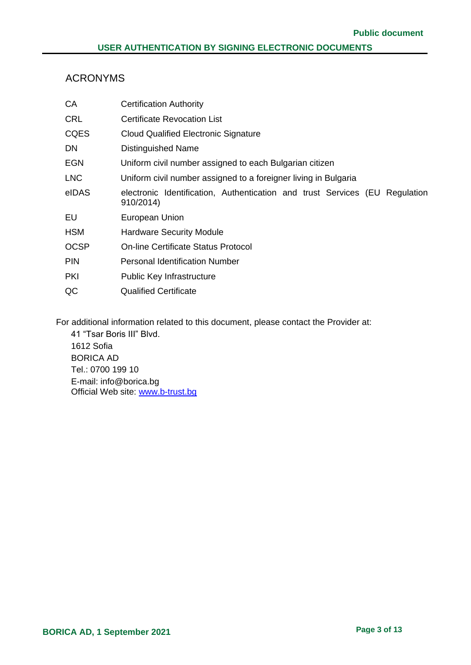# <span id="page-2-0"></span>ACRONYMS

| CA          | <b>Certification Authority</b>                                                           |
|-------------|------------------------------------------------------------------------------------------|
| <b>CRL</b>  | <b>Certificate Revocation List</b>                                                       |
| <b>CQES</b> | <b>Cloud Qualified Electronic Signature</b>                                              |
| DN          | <b>Distinguished Name</b>                                                                |
| <b>EGN</b>  | Uniform civil number assigned to each Bulgarian citizen                                  |
| LNC         | Uniform civil number assigned to a foreigner living in Bulgaria                          |
| eIDAS       | electronic Identification, Authentication and trust Services (EU Regulation<br>910/2014) |
| EU          | European Union                                                                           |
| <b>HSM</b>  | <b>Hardware Security Module</b>                                                          |
| <b>OCSP</b> | <b>On-line Certificate Status Protocol</b>                                               |
| <b>PIN</b>  | <b>Personal Identification Number</b>                                                    |
| <b>PKI</b>  | <b>Public Key Infrastructure</b>                                                         |
| QC          | <b>Qualified Certificate</b>                                                             |

For additional information related to this document, please contact the Provider at:

41 "Tsar Boris III" Blvd. 1612 Sofia BORICA AD Tel.: 0700 199 10 E-mail: info@borica.bg Official Web site: www.b-trust.bg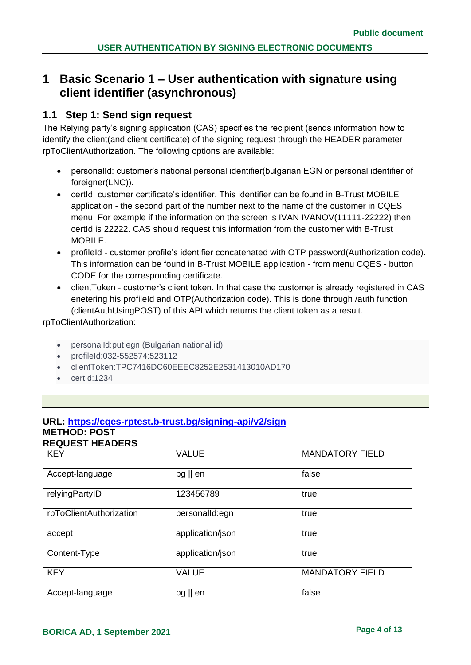# <span id="page-3-0"></span>**1 Basic Scenario 1 – User authentication with signature using client identifier (asynchronous)**

# <span id="page-3-1"></span>**1.1 Step 1: Send sign request**

The Relying party's signing application (CAS) specifies the recipient (sends information how to identify the client(and client certificate) of the signing request through the HEADER parameter rpToClientAuthorization. The following options are available:

- personalId: customer's national personal identifier(bulgarian EGN or personal identifier of foreigner(LNC)).
- certId: customer certificate's identifier. This identifier can be found in B-Trust MOBILE application - the second part of the number next to the name of the customer in CQES menu. For example if the information on the screen is IVAN IVANOV(11111-22222) then certId is 22222. CAS should request this information from the customer with B-Trust MOBILE.
- profileId customer profile's identifier concatenated with OTP password(Authorization code). This information can be found in B-Trust MOBILE application - from menu CQES - button CODE for the corresponding certificate.
- clientToken customer's client token. In that case the customer is already registered in CAS enetering his profileId and OTP(Authorization code). This is done through /auth function (clientAuthUsingPOST) of this API which returns the client token as a result.

rpToClientAuthorization:

- personalId:put egn (Bulgarian national id)
- profileId:032-552574:523112
- clientToken:TPC7416DC60EEEC8252E2531413010AD170
- certId:1234

# **URL: [https://cqes-rptest.b-trust.bg/signing-api/v2/sign](https://cqes-api.dev.srv/signing-api/v2/sign)**

#### **METHOD: POST REQUEST HEADERS**

| <b>KEY</b>              | <b>VALUE</b>      | <b>MANDATORY FIELD</b> |
|-------------------------|-------------------|------------------------|
| Accept-language         | $bg \parallel en$ | false                  |
| relyingPartyID          | 123456789         | true                   |
| rpToClientAuthorization | personalId:egn    | true                   |
| accept                  | application/json  | true                   |
| Content-Type            | application/json  | true                   |
| <b>KEY</b>              | <b>VALUE</b>      | <b>MANDATORY FIELD</b> |
| Accept-language         | $bg \parallel en$ | false                  |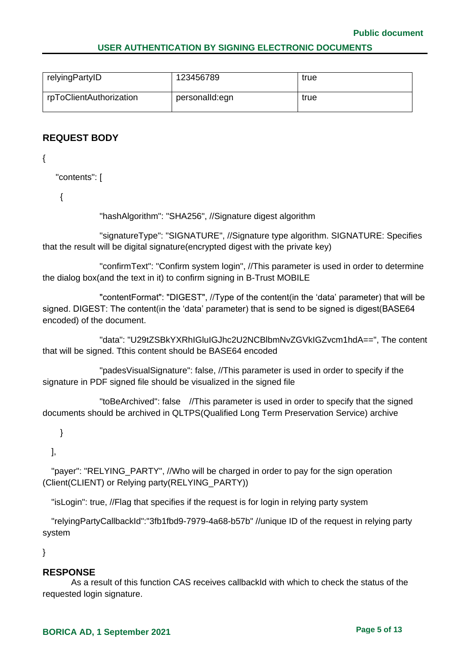| relyingPartyID          | 123456789      | true |
|-------------------------|----------------|------|
| rpToClientAuthorization | personalId:egn | true |

# **REQUEST BODY**

{

"contents": [

{

"hashAlgorithm": "SHA256", //Signature digest algorithm

"signatureType": "SIGNATURE", //Signature type algorithm. SIGNATURE: Specifies that the result will be digital signature(encrypted digest with the private key)

"confirmText": "Confirm system login", //This parameter is used in order to determine the dialog box(and the text in it) to confirm signing in B-Trust MOBILE

"contentFormat": "DIGEST", //Type of the content(in the 'data' parameter) that will be signed. DIGEST: The content(in the 'data' parameter) that is send to be signed is digest(BASE64 encoded) of the document.

"data": "U29tZSBkYXRhIGluIGJhc2U2NCBlbmNvZGVkIGZvcm1hdA==", The content that will be signed. Tthis content should be BASE64 encoded

"padesVisualSignature": false, //This parameter is used in order to specify if the signature in PDF signed file should be visualized in the signed file

"toBeArchived": false //This parameter is used in order to specify that the signed documents should be archived in QLTPS(Qualified Long Term Preservation Service) archive

}

],

"payer": "RELYING PARTY", //Who will be charged in order to pay for the sign operation (Client(CLIENT) or Relying party(RELYING\_PARTY))

"isLogin": true, //Flag that specifies if the request is for login in relying party system

 "relyingPartyCallbackId":"3fb1fbd9-7979-4a68-b57b" //unique ID of the request in relying party system

}

### **RESPONSE**

As a result of this function CAS receives callbackId with which to check the status of the requested login signature.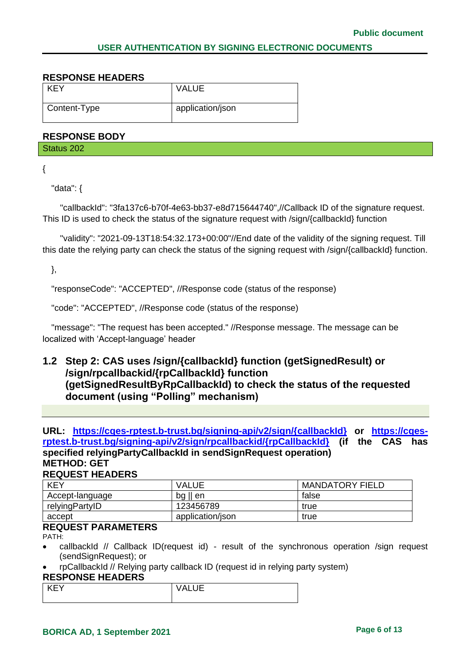#### **RESPONSE HEADERS**

| KEY          | <b>VALUE</b>     |
|--------------|------------------|
| Content-Type | application/json |

#### **RESPONSE BODY**

Status 202

{

"data": {

 "callbackId": "3fa137c6-b70f-4e63-bb37-e8d715644740",//Callback ID of the signature request. This ID is used to check the status of the signature request with /sign/{callbackId} function

 "validity": "2021-09-13T18:54:32.173+00:00"//End date of the validity of the signing request. Till this date the relying party can check the status of the signing request with /sign/{callbackId} function.

},

"responseCode": "ACCEPTED", //Response code (status of the response)

"code": "ACCEPTED", //Response code (status of the response)

 "message": "The request has been accepted." //Response message. The message can be localized with 'Accept-language' header

# <span id="page-5-0"></span>**1.2 Step 2: CAS uses /sign/{callbackId} function (getSignedResult) or /sign/rpcallbackid/{rpCallbackId} function (getSignedResultByRpCallbackId) to check the status of the requested document (using "Polling" mechanism)**

**URL: [https://cqes-rptest.b-trust.bg/signing-api/v2/sign/{callbackId}](https://cqes-rptest.b-trust.bg/signing-api/v2/sign/%7bcallbackId%7d) or [https://cqes](https://cqes-rptest.b-trust.bg/signing-api/v2/sign/rpcallbackid/%7brpCallbackId%7d)[rptest.b-trust.bg/signing-api/v2/sign/rpcallbackid/{rpCallbackId}](https://cqes-rptest.b-trust.bg/signing-api/v2/sign/rpcallbackid/%7brpCallbackId%7d) (if the CAS has specified relyingPartyCallbackId in sendSignRequest operation) METHOD: GET**

#### **REQUEST HEADERS**

| <b>KEY</b>      | <b>VALUE</b>      | <b>MANDATORY FIELD</b> |
|-----------------|-------------------|------------------------|
| Accept-language | $bg \parallel en$ | false                  |
| relyingPartyID  | 123456789         | true                   |
| accept          | application/json  | true                   |

# **REQUEST PARAMETERS**

PATH:

- callbackId // Callback ID(request id) result of the synchronous operation /sign request (sendSignRequest); or
- rpCallbackId // Relying party callback ID (request id in relying party system)

#### **RESPONSE HEADERS**

| $\sim$<br>◝◡◡ |
|---------------|
|               |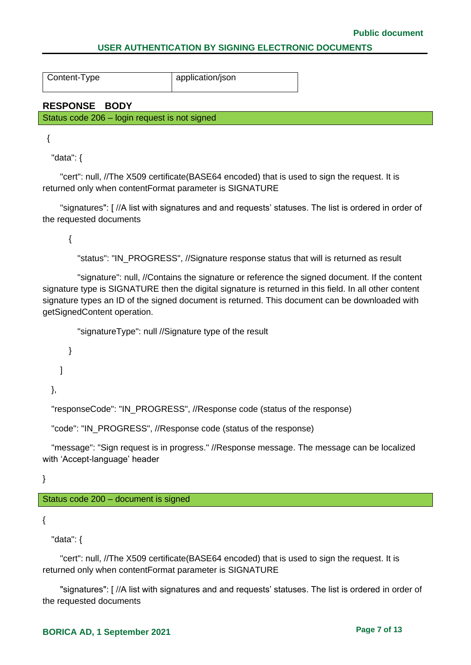Content-Type application/json

**RESPONSE BODY**

Status code 206 – login request is not signed

{

"data": {

 "cert": null, //The X509 certificate(BASE64 encoded) that is used to sign the request. It is returned only when contentFormat parameter is SIGNATURE

 "signatures": [ //A list with signatures and and requests' statuses. The list is ordered in order of the requested documents

{

"status": "IN\_PROGRESS", //Signature response status that will is returned as result

 "signature": null, //Contains the signature or reference the signed document. If the content signature type is SIGNATURE then the digital signature is returned in this field. In all other content signature types an ID of the signed document is returned. This document can be downloaded with getSignedContent operation.

```
 "signatureType": null //Signature type of the result
```
 } ]

},

"responseCode": "IN\_PROGRESS", //Response code (status of the response)

```
 "code": "IN_PROGRESS", //Response code (status of the response)
```
 "message": "Sign request is in progress." //Response message. The message can be localized with 'Accept-language' header

}

Status code 200 – document is signed

{

"data": {

 "cert": null, //The X509 certificate(BASE64 encoded) that is used to sign the request. It is returned only when contentFormat parameter is SIGNATURE

 "signatures": [ //A list with signatures and and requests' statuses. The list is ordered in order of the requested documents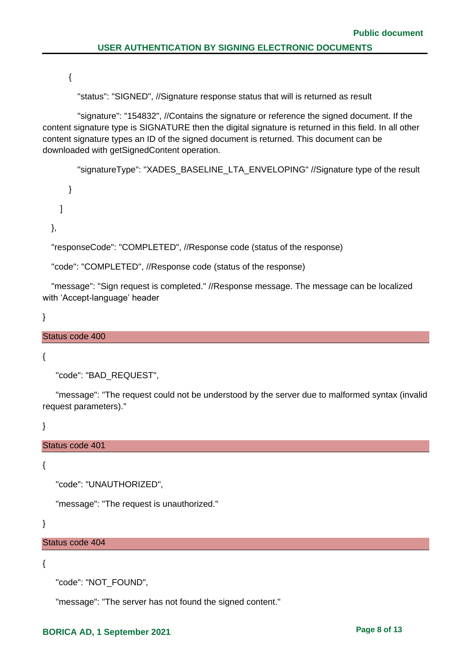{

"status": "SIGNED", //Signature response status that will is returned as result

 "signature": "154832", //Contains the signature or reference the signed document. If the content signature type is SIGNATURE then the digital signature is returned in this field. In all other content signature types an ID of the signed document is returned. This document can be downloaded with getSignedContent operation.

"signatureType": "XADES\_BASELINE\_LTA\_ENVELOPING" //Signature type of the result

 } ]

},

"responseCode": "COMPLETED", //Response code (status of the response)

"code": "COMPLETED", //Response code (status of the response)

 "message": "Sign request is completed." //Response message. The message can be localized with 'Accept-language' header

}

#### Status code 400

{

```
 "code": "BAD_REQUEST",
```
 "message": "The request could not be understood by the server due to malformed syntax (invalid request parameters)."

}

Status code 401

{

```
 "code": "UNAUTHORIZED",
```
"message": "The request is unauthorized."

}

#### Status code 404

{

"code": "NOT\_FOUND",

"message": "The server has not found the signed content."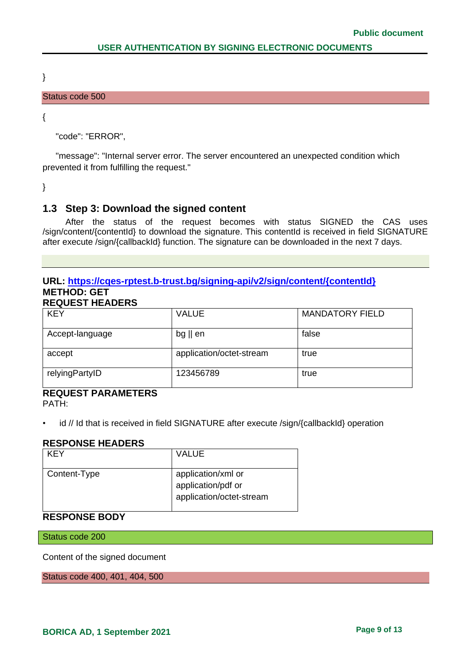}

#### Status code 500

{

"code": "ERROR",

 "message": "Internal server error. The server encountered an unexpected condition which prevented it from fulfilling the request."

}

# <span id="page-8-0"></span>**1.3 Step 3: Download the signed content**

After the status of the request becomes with status SIGNED the CAS uses /sign/content/{contentId} to download the signature. This contentId is received in field SIGNATURE after execute /sign/{callbackId} function. The signature can be downloaded in the next 7 days.

#### **URL: [https://cqes-rptest.b-trust.bg/signing-api/v2/sign/content/{contentId}](https://cqes-api.dev.srv/signing-api/v2/sign/content/%7bcontentId%7d) METHOD: GET REQUEST HEADERS**

| KLQULUI IILADLIYU |                          |                        |  |
|-------------------|--------------------------|------------------------|--|
| <b>KEY</b>        | <b>VALUE</b>             | <b>MANDATORY FIELD</b> |  |
| Accept-language   | $bg \parallel en$        | false                  |  |
| accept            | application/octet-stream | true                   |  |
| relyingPartyID    | 123456789                | true                   |  |

# **REQUEST PARAMETERS**

PATH:

id // Id that is received in field SIGNATURE after execute /sign/{callbackId} operation

#### **RESPONSE HEADERS**

| KFY          | VALUE                                                                |
|--------------|----------------------------------------------------------------------|
| Content-Type | application/xml or<br>application/pdf or<br>application/octet-stream |

# **RESPONSE BODY**

Status code 200

Content of the signed document

Status code 400, 401, 404, 500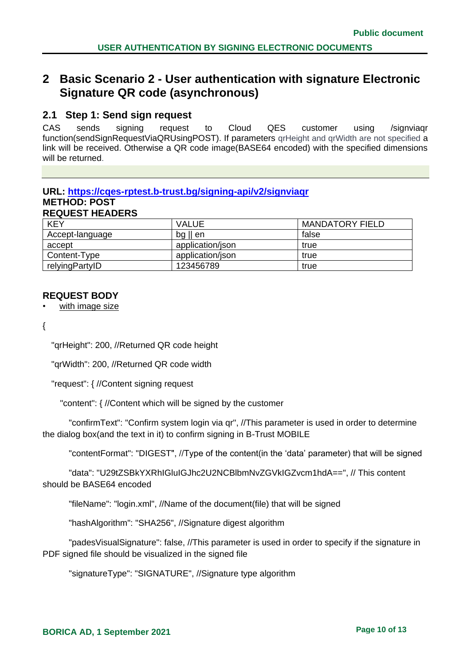# <span id="page-9-0"></span>**2 Basic Scenario 2 - User authentication with signature Electronic Signature QR code (asynchronous)**

# <span id="page-9-1"></span>**2.1 Step 1: Send sign request**

CAS sends signing request to Cloud QES customer using /signviaqr function(sendSignRequestViaQRUsingPOST). If parameters qrHeight and qrWidth are not specified a link will be received. Otherwise a QR code image(BASE64 encoded) with the specified dimensions will be returned.

#### **URL: [https://cqes-rptest.b-trust.bg/signing-api/v2/signviaqr](https://cqes-api.dev.srv/signing-api/v2/) METHOD: POST REQUEST HEADERS**

| <b>KEY</b>      | <b>VALUE</b>      | <b>MANDATORY FIELD</b> |
|-----------------|-------------------|------------------------|
| Accept-language | $bg \parallel en$ | false                  |
| accept          | application/json  | true                   |
| Content-Type    | application/json  | true                   |
| relyingPartyID  | 123456789         | true                   |

### **REQUEST BODY**

with image size

{

"qrHeight": 200, //Returned QR code height

"qrWidth": 200, //Returned QR code width

"request": { //Content signing request

"content": { //Content which will be signed by the customer

 "confirmText": "Confirm system login via qr", //This parameter is used in order to determine the dialog box(and the text in it) to confirm signing in B-Trust MOBILE

"contentFormat": "DIGEST", //Type of the content(in the 'data' parameter) that will be signed

 "data": "U29tZSBkYXRhIGluIGJhc2U2NCBlbmNvZGVkIGZvcm1hdA==", // This content should be BASE64 encoded

"fileName": "login.xml", //Name of the document(file) that will be signed

"hashAlgorithm": "SHA256", //Signature digest algorithm

 "padesVisualSignature": false, //This parameter is used in order to specify if the signature in PDF signed file should be visualized in the signed file

"signatureType": "SIGNATURE", //Signature type algorithm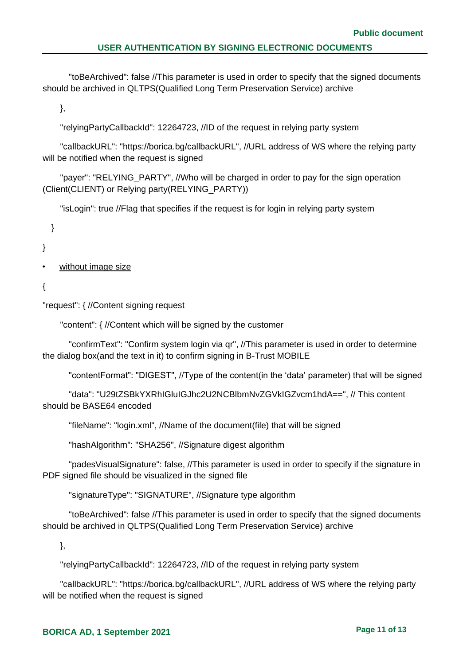"toBeArchived": false //This parameter is used in order to specify that the signed documents should be archived in QLTPS(Qualified Long Term Preservation Service) archive

},

"relyingPartyCallbackId": 12264723, //ID of the request in relying party system

 "callbackURL": "https://borica.bg/callbackURL", //URL address of WS where the relying party will be notified when the request is signed

"payer": "RELYING PARTY", //Who will be charged in order to pay for the sign operation (Client(CLIENT) or Relying party(RELYING\_PARTY))

"isLogin": true //Flag that specifies if the request is for login in relying party system

}

}

- without image size
- {

"request": { //Content signing request

"content": { //Content which will be signed by the customer

 "confirmText": "Confirm system login via qr", //This parameter is used in order to determine the dialog box(and the text in it) to confirm signing in B-Trust MOBILE

"contentFormat": "DIGEST", //Type of the content(in the 'data' parameter) that will be signed

 "data": "U29tZSBkYXRhIGluIGJhc2U2NCBlbmNvZGVkIGZvcm1hdA==", // This content should be BASE64 encoded

"fileName": "login.xml", //Name of the document(file) that will be signed

"hashAlgorithm": "SHA256", //Signature digest algorithm

 "padesVisualSignature": false, //This parameter is used in order to specify if the signature in PDF signed file should be visualized in the signed file

"signatureType": "SIGNATURE", //Signature type algorithm

 "toBeArchived": false //This parameter is used in order to specify that the signed documents should be archived in QLTPS(Qualified Long Term Preservation Service) archive

},

"relyingPartyCallbackId": 12264723, //ID of the request in relying party system

 "callbackURL": "https://borica.bg/callbackURL", //URL address of WS where the relying party will be notified when the request is signed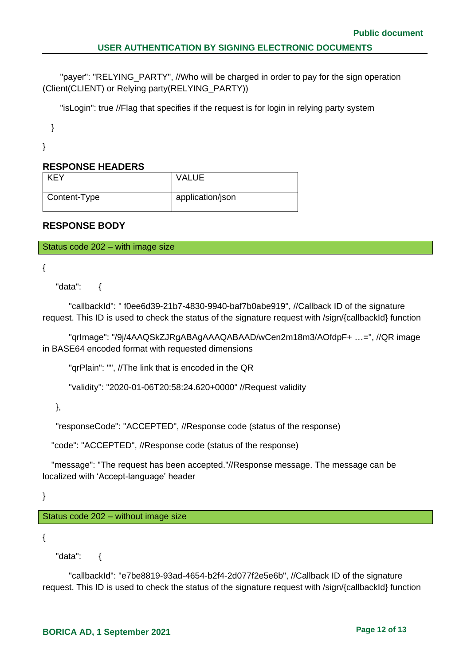"payer": "RELYING\_PARTY", //Who will be charged in order to pay for the sign operation (Client(CLIENT) or Relying party(RELYING\_PARTY))

"isLogin": true //Flag that specifies if the request is for login in relying party system

}

}

# **RESPONSE HEADERS**

| <b>KEY</b>   | <b>VALUE</b>     |
|--------------|------------------|
| Content-Type | application/json |

# **RESPONSE BODY**

Status code 202 – with image size

```
{
```
"data": {

 "callbackId": " f0ee6d39-21b7-4830-9940-baf7b0abe919", //Callback ID of the signature request. This ID is used to check the status of the signature request with /sign/{callbackId} function

 "qrImage": "/9j/4AAQSkZJRgABAgAAAQABAAD/wCen2m18m3/AOfdpF+ …=", //QR image in BASE64 encoded format with requested dimensions

"qrPlain": "", //The link that is encoded in the QR

```
 "validity": "2020-01-06T20:58:24.620+0000" //Request validity
```
},

"responseCode": "ACCEPTED", //Response code (status of the response)

"code": "ACCEPTED", //Response code (status of the response)

 "message": "The request has been accepted."//Response message. The message can be localized with 'Accept-language' header

}

Status code 202 – without image size

{

"data": {

 "callbackId": "e7be8819-93ad-4654-b2f4-2d077f2e5e6b", //Callback ID of the signature request. This ID is used to check the status of the signature request with /sign/{callbackId} function